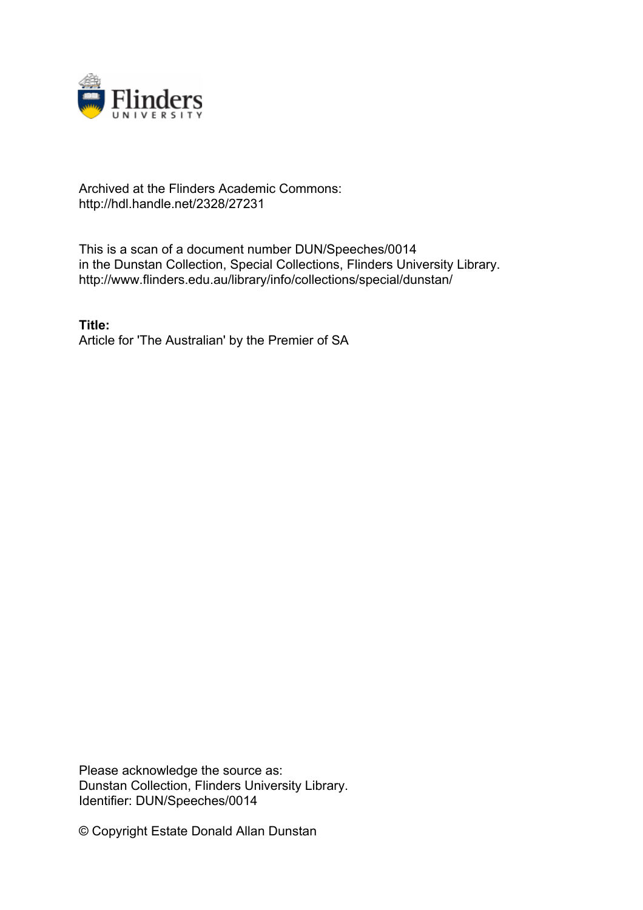

## Archived at the Flinders Academic Commons: http://hdl.handle.net/2328/27231

This is a scan of a document number DUN/Speeches/0014 in the Dunstan Collection, Special Collections, Flinders University Library. http://www.flinders.edu.au/library/info/collections/special/dunstan/

**Title:** Article for 'The Australian' by the Premier of SA

Please acknowledge the source as: Dunstan Collection, Flinders University Library. Identifier: DUN/Speeches/0014

© Copyright Estate Donald Allan Dunstan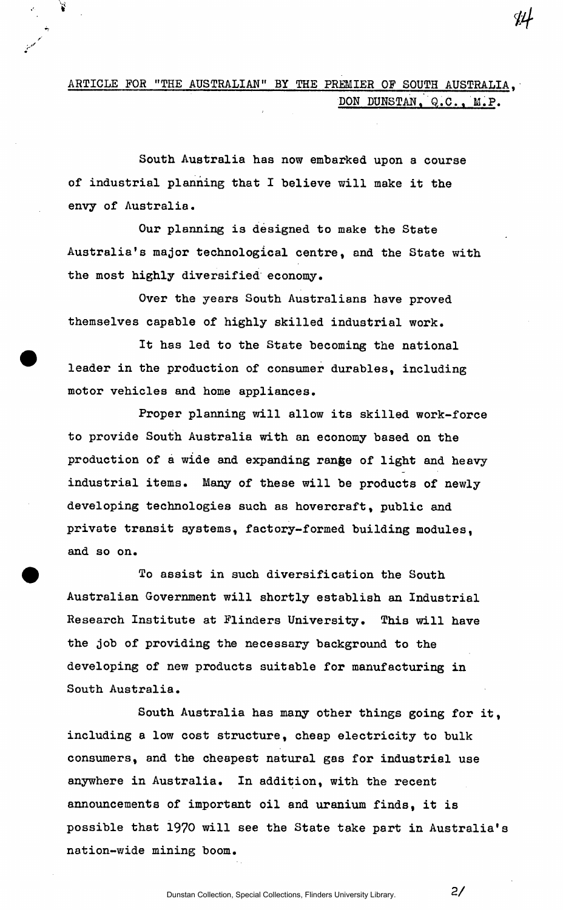## ARTICLE FOR "THE AUSTRALIAN" BY THE PREMIER OF SOUTH AUSTRALIA, DON DUNSTAN, Q.C., M.P.

South Australia has now embarked upon a course of industrial planning that I believe will make it the envy of Australia.

Our planning is designed to make the State Australia's major technological centre, and the State with the most highly diversified economy.

Over the years South Australians have proved themselves capable of highly skilled industrial work.

It has led to the State becoming the national leader in the production of consumer durables, including motor vehicles and home appliances.

Proper planning will allow its skilled work-force to provide South Australia with an economy based on the production of a wide and expanding range of light and heavy industrial items. Many of these will be products of newly developing technologies such as hovercraft, public and private transit systems, factory-formed building modules, and so on.

To assist in such diversification the South Australian Government will shortly establish an Industrial Research Institute at Flinders University. This will have the job of providing the necessary background to the developing of new products suitable for manufacturing in South Australia.

South Australia has many other things going for it, including a low cost structure, cheap electricity to bulk consumers, and the cheapest natural gas for industrial use anywhere in Australia. In addition, with the recent announcements of important oil and uranium finds, it is possible that 1970 will see the State take part in Australia's nation-wide mining boom.

**2/**